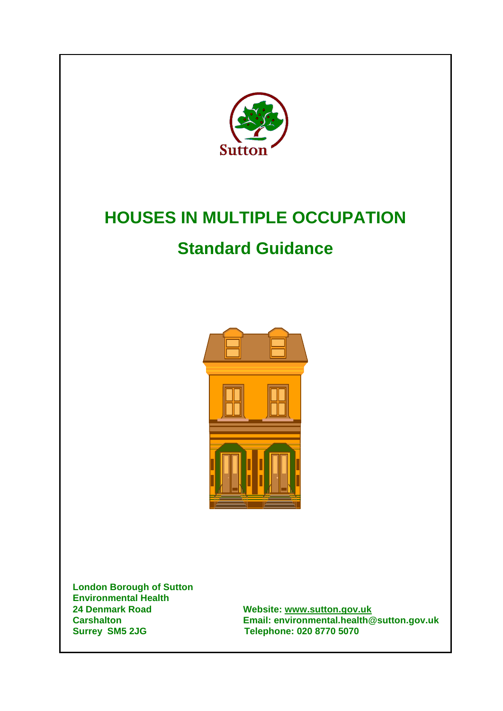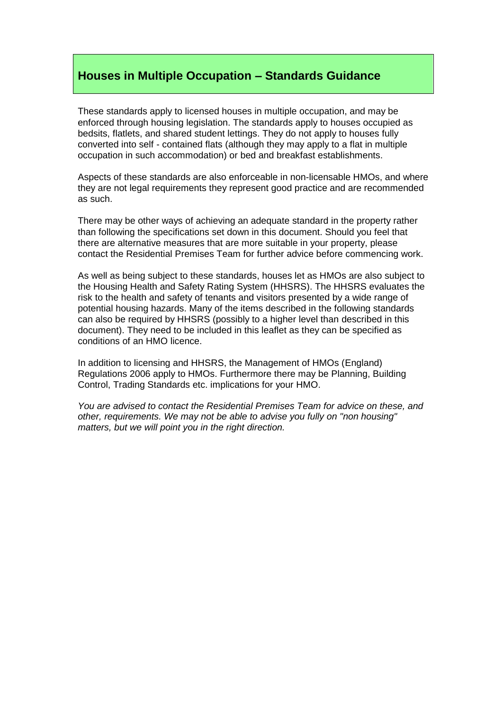# **Houses in Multiple Occupation – Standards Guidance**

These standards apply to licensed houses in multiple occupation, and may be enforced through housing legislation. The standards apply to houses occupied as bedsits, flatlets, and shared student lettings. They do not apply to houses fully converted into self - contained flats (although they may apply to a flat in multiple occupation in such accommodation) or bed and breakfast establishments.

Aspects of these standards are also enforceable in non-licensable HMOs, and where they are not legal requirements they represent good practice and are recommended as such.

There may be other ways of achieving an adequate standard in the property rather than following the specifications set down in this document. Should you feel that there are alternative measures that are more suitable in your property, please contact the Residential Premises Team for further advice before commencing work.

As well as being subject to these standards, houses let as HMOs are also subject to the Housing Health and Safety Rating System (HHSRS). The HHSRS evaluates the risk to the health and safety of tenants and visitors presented by a wide range of potential housing hazards. Many of the items described in the following standards can also be required by HHSRS (possibly to a higher level than described in this document). They need to be included in this leaflet as they can be specified as conditions of an HMO licence.

In addition to licensing and HHSRS, the Management of HMOs (England) Regulations 2006 apply to HMOs. Furthermore there may be Planning, Building Control, Trading Standards etc. implications for your HMO.

*You are advised to contact the Residential Premises Team for advice on these, and other, requirements. We may not be able to advise you fully on "non housing" matters, but we will point you in the right direction.*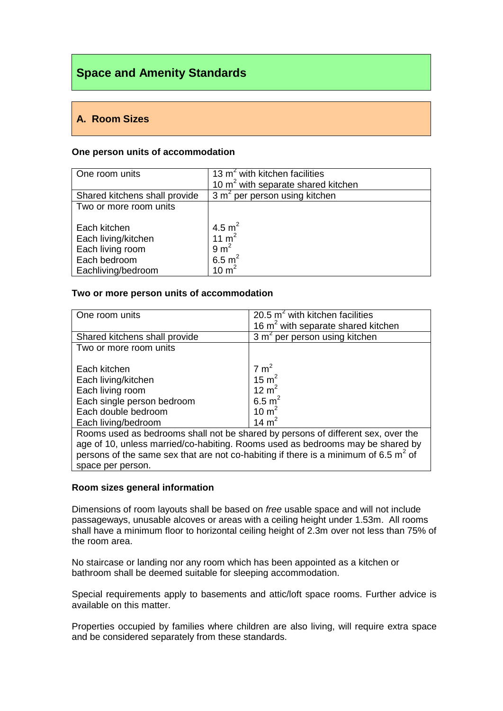# **Space and Amenity Standards**

# **A. Room Sizes**

#### **One person units of accommodation**

| One room units                | 13 $m2$ with kitchen facilities                |
|-------------------------------|------------------------------------------------|
|                               | 10 m <sup>2</sup> with separate shared kitchen |
| Shared kitchens shall provide | 3 m <sup>2</sup> per person using kitchen      |
| Two or more room units        |                                                |
|                               |                                                |
| Each kitchen                  | 4.5 $m^2$                                      |
| Each living/kitchen           | 11 $m2$                                        |
| Each living room              | $9 \text{ m}^2$                                |
| Each bedroom                  | 6.5 $m^2$                                      |
| Eachliving/bedroom            | 10 $m2$                                        |

#### **Two or more person units of accommodation**

| One room units                                                                         | 20.5 $m^2$ with kitchen facilities        |  |  |  |
|----------------------------------------------------------------------------------------|-------------------------------------------|--|--|--|
|                                                                                        | 16 $m2$ with separate shared kitchen      |  |  |  |
| Shared kitchens shall provide                                                          | 3 m <sup>2</sup> per person using kitchen |  |  |  |
| Two or more room units                                                                 |                                           |  |  |  |
|                                                                                        |                                           |  |  |  |
| Each kitchen                                                                           | $7 \text{ m}^2$                           |  |  |  |
| Each living/kitchen                                                                    | 15 $m2$                                   |  |  |  |
| Each living room                                                                       | 12 $m2$                                   |  |  |  |
| Each single person bedroom                                                             | 6.5 $m^2$                                 |  |  |  |
| Each double bedroom                                                                    | 10 $m2$                                   |  |  |  |
| Each living/bedroom                                                                    | 14 $m2$                                   |  |  |  |
| Rooms used as bedrooms shall not be shared by persons of different sex, over the       |                                           |  |  |  |
| age of 10, unless married/co-habiting. Rooms used as bedrooms may be shared by         |                                           |  |  |  |
| persons of the same sex that are not co-habiting if there is a minimum of 6.5 $m^2$ of |                                           |  |  |  |
| space per person.                                                                      |                                           |  |  |  |
|                                                                                        |                                           |  |  |  |

## **Room sizes general information**

Dimensions of room layouts shall be based on *free* usable space and will not include passageways, unusable alcoves or areas with a ceiling height under 1.53m. All rooms shall have a minimum floor to horizontal ceiling height of 2.3m over not less than 75% of the room area.

No staircase or landing nor any room which has been appointed as a kitchen or bathroom shall be deemed suitable for sleeping accommodation.

Special requirements apply to basements and attic/loft space rooms. Further advice is available on this matter.

Properties occupied by families where children are also living, will require extra space and be considered separately from these standards.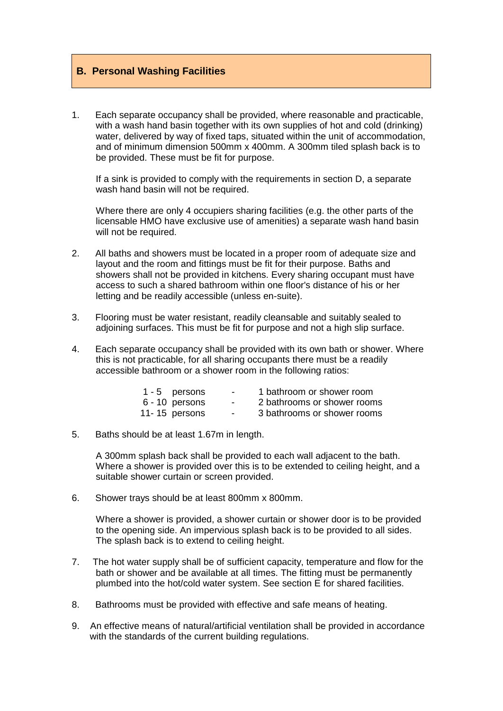# **B. Personal Washing Facilities**

1. Each separate occupancy shall be provided, where reasonable and practicable, with a wash hand basin together with its own supplies of hot and cold (drinking) water, delivered by way of fixed taps, situated within the unit of accommodation, and of minimum dimension 500mm x 400mm. A 300mm tiled splash back is to be provided. These must be fit for purpose.

If a sink is provided to comply with the requirements in section D, a separate wash hand basin will not be required.

Where there are only 4 occupiers sharing facilities (e.g. the other parts of the licensable HMO have exclusive use of amenities) a separate wash hand basin will not be required.

- 2. All baths and showers must be located in a proper room of adequate size and layout and the room and fittings must be fit for their purpose. Baths and showers shall not be provided in kitchens. Every sharing occupant must have access to such a shared bathroom within one floor's distance of his or her letting and be readily accessible (unless en-suite).
- 3. Flooring must be water resistant, readily cleansable and suitably sealed to adjoining surfaces. This must be fit for purpose and not a high slip surface.
- 4. Each separate occupancy shall be provided with its own bath or shower. Where this is not practicable, for all sharing occupants there must be a readily accessible bathroom or a shower room in the following ratios:

| 1 - 5 persons  | $\sim$ | 1 bathroom or shower room   |
|----------------|--------|-----------------------------|
| 6 - 10 persons |        | 2 bathrooms or shower rooms |
| 11-15 persons  | $\sim$ | 3 bathrooms or shower rooms |

#### 5. Baths should be at least 1.67m in length.

A 300mm splash back shall be provided to each wall adjacent to the bath. Where a shower is provided over this is to be extended to ceiling height, and a suitable shower curtain or screen provided.

6. Shower trays should be at least 800mm x 800mm.

Where a shower is provided, a shower curtain or shower door is to be provided to the opening side. An impervious splash back is to be provided to all sides. The splash back is to extend to ceiling height.

- 7. The hot water supply shall be of sufficient capacity, temperature and flow for the bath or shower and be available at all times. The fitting must be permanently plumbed into the hot/cold water system. See section E for shared facilities.
- 8. Bathrooms must be provided with effective and safe means of heating.
- 9. An effective means of natural/artificial ventilation shall be provided in accordance with the standards of the current building regulations.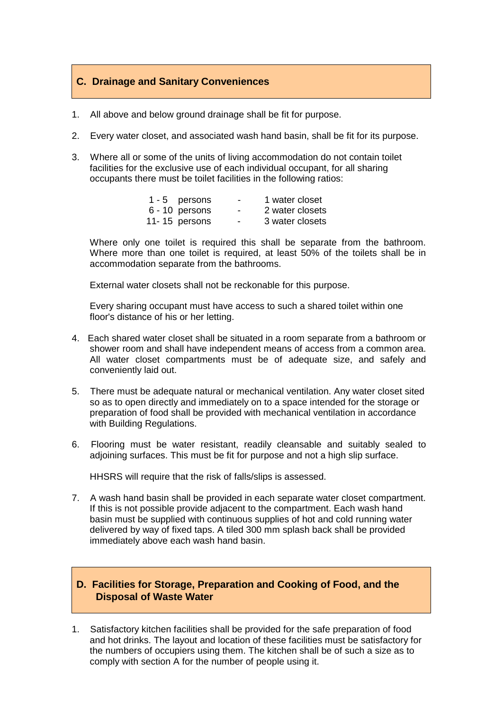# **C. Drainage and Sanitary Conveniences**

- 1. All above and below ground drainage shall be fit for purpose.
- 2. Every water closet, and associated wash hand basin, shall be fit for its purpose.
- 3. Where all or some of the units of living accommodation do not contain toilet facilities for the exclusive use of each individual occupant, for all sharing occupants there must be toilet facilities in the following ratios:

| 1 - 5 persons    | $\overline{\phantom{a}}$ | 1 water closet  |
|------------------|--------------------------|-----------------|
| $6 - 10$ persons | $\overline{\phantom{0}}$ | 2 water closets |
| 11-15 persons    | ۰                        | 3 water closets |

Where only one toilet is required this shall be separate from the bathroom. Where more than one toilet is required, at least 50% of the toilets shall be in accommodation separate from the bathrooms.

External water closets shall not be reckonable for this purpose.

Every sharing occupant must have access to such a shared toilet within one floor's distance of his or her letting.

- 4. Each shared water closet shall be situated in a room separate from a bathroom or shower room and shall have independent means of access from a common area. All water closet compartments must be of adequate size, and safely and conveniently laid out.
- 5. There must be adequate natural or mechanical ventilation. Any water closet sited so as to open directly and immediately on to a space intended for the storage or preparation of food shall be provided with mechanical ventilation in accordance with Building Regulations.
- 6. Flooring must be water resistant, readily cleansable and suitably sealed to adjoining surfaces. This must be fit for purpose and not a high slip surface.

HHSRS will require that the risk of falls/slips is assessed.

7. A wash hand basin shall be provided in each separate water closet compartment. If this is not possible provide adjacent to the compartment. Each wash hand basin must be supplied with continuous supplies of hot and cold running water delivered by way of fixed taps. A tiled 300 mm splash back shall be provided immediately above each wash hand basin.

# **D. Facilities for Storage, Preparation and Cooking of Food, and the Disposal of Waste Water**

1. Satisfactory kitchen facilities shall be provided for the safe preparation of food and hot drinks. The layout and location of these facilities must be satisfactory for the numbers of occupiers using them. The kitchen shall be of such a size as to comply with section A for the number of people using it.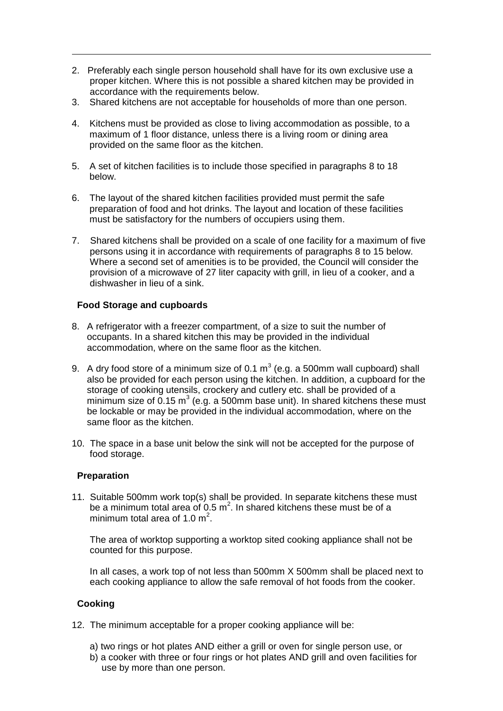- 2. Preferably each single person household shall have for its own exclusive use a proper kitchen. Where this is not possible a shared kitchen may be provided in accordance with the requirements below.
- 3. Shared kitchens are not acceptable for households of more than one person.
- 4. Kitchens must be provided as close to living accommodation as possible, to a maximum of 1 floor distance, unless there is a living room or dining area provided on the same floor as the kitchen.
- 5. A set of kitchen facilities is to include those specified in paragraphs 8 to 18 below.
- 6. The layout of the shared kitchen facilities provided must permit the safe preparation of food and hot drinks. The layout and location of these facilities must be satisfactory for the numbers of occupiers using them.
- 7. Shared kitchens shall be provided on a scale of one facility for a maximum of five persons using it in accordance with requirements of paragraphs 8 to 15 below. Where a second set of amenities is to be provided, the Council will consider the provision of a microwave of 27 liter capacity with grill, in lieu of a cooker, and a dishwasher in lieu of a sink.

## **Food Storage and cupboards**

- 8. A refrigerator with a freezer compartment, of a size to suit the number of occupants. In a shared kitchen this may be provided in the individual accommodation, where on the same floor as the kitchen.
- 9. A dry food store of a minimum size of 0.1  $m^3$  (e.g. a 500mm wall cupboard) shall also be provided for each person using the kitchen. In addition, a cupboard for the storage of cooking utensils, crockery and cutlery etc. shall be provided of a minimum size of 0.15 m<sup>3</sup> (e.g. a 500mm base unit). In shared kitchens these must be lockable or may be provided in the individual accommodation, where on the same floor as the kitchen.
- 10. The space in a base unit below the sink will not be accepted for the purpose of food storage.

## **Preparation**

11. Suitable 500mm work top(s) shall be provided. In separate kitchens these must be a minimum total area of 0.5  $m^2$ . In shared kitchens these must be of a minimum total area of 1.0  $m^2$ .

The area of worktop supporting a worktop sited cooking appliance shall not be counted for this purpose.

In all cases, a work top of not less than 500mm X 500mm shall be placed next to each cooking appliance to allow the safe removal of hot foods from the cooker.

# **Cooking**

- 12. The minimum acceptable for a proper cooking appliance will be:
	- a) two rings or hot plates AND either a grill or oven for single person use, or
	- b) a cooker with three or four rings or hot plates AND grill and oven facilities for use by more than one person.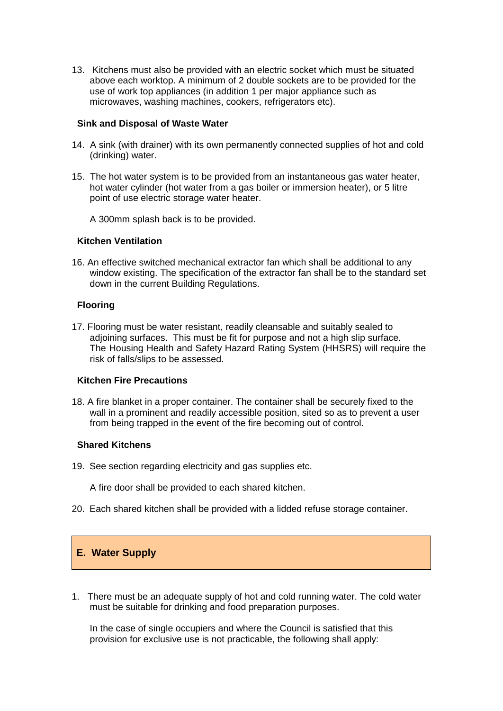13. Kitchens must also be provided with an electric socket which must be situated above each worktop. A minimum of 2 double sockets are to be provided for the use of work top appliances (in addition 1 per major appliance such as microwaves, washing machines, cookers, refrigerators etc).

#### **Sink and Disposal of Waste Water**

- 14. A sink (with drainer) with its own permanently connected supplies of hot and cold (drinking) water.
- 15. The hot water system is to be provided from an instantaneous gas water heater, hot water cylinder (hot water from a gas boiler or immersion heater), or 5 litre point of use electric storage water heater.

A 300mm splash back is to be provided.

#### **Kitchen Ventilation**

16. An effective switched mechanical extractor fan which shall be additional to any window existing. The specification of the extractor fan shall be to the standard set down in the current Building Regulations.

#### **Flooring**

17. Flooring must be water resistant, readily cleansable and suitably sealed to adjoining surfaces. This must be fit for purpose and not a high slip surface. The Housing Health and Safety Hazard Rating System (HHSRS) will require the risk of falls/slips to be assessed.

## **Kitchen Fire Precautions**

18. A fire blanket in a proper container. The container shall be securely fixed to the wall in a prominent and readily accessible position, sited so as to prevent a user from being trapped in the event of the fire becoming out of control.

#### **Shared Kitchens**

- 19. See section regarding electricity and gas supplies etc.
	- A fire door shall be provided to each shared kitchen.
- 20. Each shared kitchen shall be provided with a lidded refuse storage container.

# **E. Water Supply**

1. There must be an adequate supply of hot and cold running water. The cold water must be suitable for drinking and food preparation purposes.

In the case of single occupiers and where the Council is satisfied that this provision for exclusive use is not practicable, the following shall apply: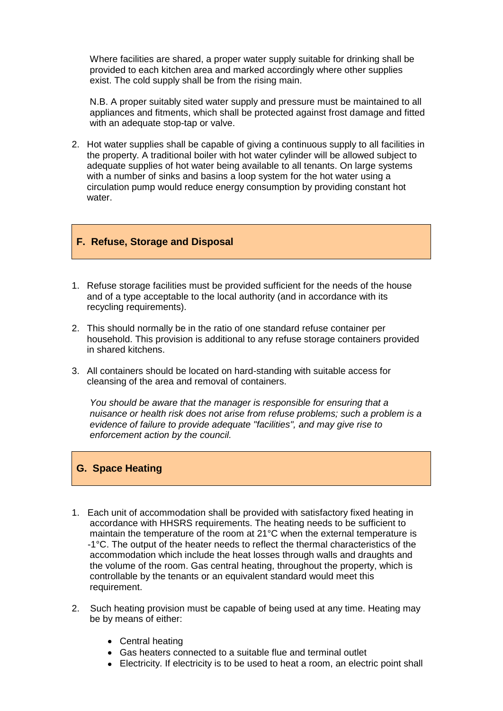Where facilities are shared, a proper water supply suitable for drinking shall be provided to each kitchen area and marked accordingly where other supplies exist. The cold supply shall be from the rising main.

N.B. A proper suitably sited water supply and pressure must be maintained to all appliances and fitments, which shall be protected against frost damage and fitted with an adequate stop-tap or valve.

2. Hot water supplies shall be capable of giving a continuous supply to all facilities in the property. A traditional boiler with hot water cylinder will be allowed subject to adequate supplies of hot water being available to all tenants. On large systems with a number of sinks and basins a loop system for the hot water using a circulation pump would reduce energy consumption by providing constant hot water.

#### **F. Refuse, Storage and Disposal**

- 1. Refuse storage facilities must be provided sufficient for the needs of the house and of a type acceptable to the local authority (and in accordance with its recycling requirements).
- 2. This should normally be in the ratio of one standard refuse container per household. This provision is additional to any refuse storage containers provided in shared kitchens.
- 3. All containers should be located on hard-standing with suitable access for cleansing of the area and removal of containers.

*You should be aware that the manager is responsible for ensuring that a nuisance or health risk does not arise from refuse problems; such a problem is a evidence of failure to provide adequate "facilities", and may give rise to enforcement action by the council.*

#### **G. Space Heating**

- 1. Each unit of accommodation shall be provided with satisfactory fixed heating in accordance with HHSRS requirements. The heating needs to be sufficient to maintain the temperature of the room at 21°C when the external temperature is -1°C. The output of the heater needs to reflect the thermal characteristics of the accommodation which include the heat losses through walls and draughts and the volume of the room. Gas central heating, throughout the property, which is controllable by the tenants or an equivalent standard would meet this requirement.
- 2. Such heating provision must be capable of being used at any time. Heating may be by means of either:
	- Central heating
	- Gas heaters connected to a suitable flue and terminal outlet
	- Electricity. If electricity is to be used to heat a room, an electric point shall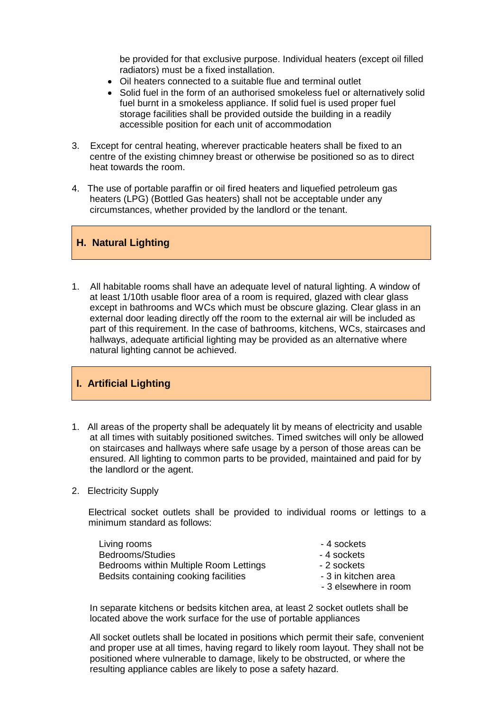be provided for that exclusive purpose. Individual heaters (except oil filled radiators) must be a fixed installation.

- Oil heaters connected to a suitable flue and terminal outlet
- Solid fuel in the form of an authorised smokeless fuel or alternatively solid fuel burnt in a smokeless appliance. If solid fuel is used proper fuel storage facilities shall be provided outside the building in a readily accessible position for each unit of accommodation
- 3. Except for central heating, wherever practicable heaters shall be fixed to an centre of the existing chimney breast or otherwise be positioned so as to direct heat towards the room.
- 4. The use of portable paraffin or oil fired heaters and liquefied petroleum gas heaters (LPG) (Bottled Gas heaters) shall not be acceptable under any circumstances, whether provided by the landlord or the tenant.

# **H. Natural Lighting**

1. All habitable rooms shall have an adequate level of natural lighting. A window of at least 1/10th usable floor area of a room is required, glazed with clear glass except in bathrooms and WCs which must be obscure glazing. Clear glass in an external door leading directly off the room to the external air will be included as part of this requirement. In the case of bathrooms, kitchens, WCs, staircases and hallways, adequate artificial lighting may be provided as an alternative where natural lighting cannot be achieved.

# **I. Artificial Lighting**

- 1. All areas of the property shall be adequately lit by means of electricity and usable at all times with suitably positioned switches. Timed switches will only be allowed on staircases and hallways where safe usage by a person of those areas can be ensured. All lighting to common parts to be provided, maintained and paid for by the landlord or the agent.
- 2. Electricity Supply

Electrical socket outlets shall be provided to individual rooms or lettings to a minimum standard as follows:

| Living rooms                           | - 4 sockets           |
|----------------------------------------|-----------------------|
| Bedrooms/Studies                       | - 4 sockets           |
| Bedrooms within Multiple Room Lettings | - 2 sockets           |
| Bedsits containing cooking facilities  | - 3 in kitchen area   |
|                                        | - 3 elsewhere in room |

In separate kitchens or bedsits kitchen area, at least 2 socket outlets shall be located above the work surface for the use of portable appliances

All socket outlets shall be located in positions which permit their safe, convenient and proper use at all times, having regard to likely room layout. They shall not be positioned where vulnerable to damage, likely to be obstructed, or where the resulting appliance cables are likely to pose a safety hazard.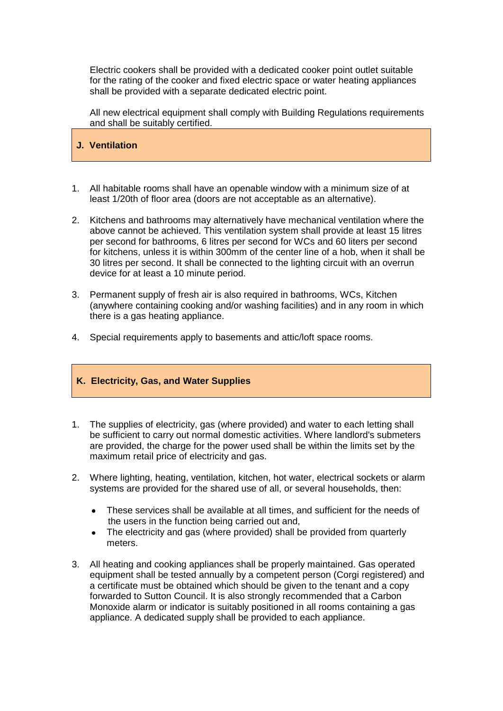Electric cookers shall be provided with a dedicated cooker point outlet suitable for the rating of the cooker and fixed electric space or water heating appliances shall be provided with a separate dedicated electric point.

All new electrical equipment shall comply with Building Regulations requirements and shall be suitably certified.

# **J. Ventilation**

- 1. All habitable rooms shall have an openable window with a minimum size of at least 1/20th of floor area (doors are not acceptable as an alternative).
- 2. Kitchens and bathrooms may alternatively have mechanical ventilation where the above cannot be achieved. This ventilation system shall provide at least 15 litres per second for bathrooms, 6 litres per second for WCs and 60 liters per second for kitchens, unless it is within 300mm of the center line of a hob, when it shall be 30 litres per second. It shall be connected to the lighting circuit with an overrun device for at least a 10 minute period.
- 3. Permanent supply of fresh air is also required in bathrooms, WCs, Kitchen (anywhere containing cooking and/or washing facilities) and in any room in which there is a gas heating appliance.
- 4. Special requirements apply to basements and attic/loft space rooms.

## **K. Electricity, Gas, and Water Supplies**

- 1. The supplies of electricity, gas (where provided) and water to each letting shall be sufficient to carry out normal domestic activities. Where landlord's submeters are provided, the charge for the power used shall be within the limits set by the maximum retail price of electricity and gas.
- 2. Where lighting, heating, ventilation, kitchen, hot water, electrical sockets or alarm systems are provided for the shared use of all, or several households, then:
	- $\bullet$ These services shall be available at all times, and sufficient for the needs of the users in the function being carried out and,
	- The electricity and gas (where provided) shall be provided from quarterly meters.
- 3. All heating and cooking appliances shall be properly maintained. Gas operated equipment shall be tested annually by a competent person (Corgi registered) and a certificate must be obtained which should be given to the tenant and a copy forwarded to Sutton Council. It is also strongly recommended that a Carbon Monoxide alarm or indicator is suitably positioned in all rooms containing a gas appliance. A dedicated supply shall be provided to each appliance.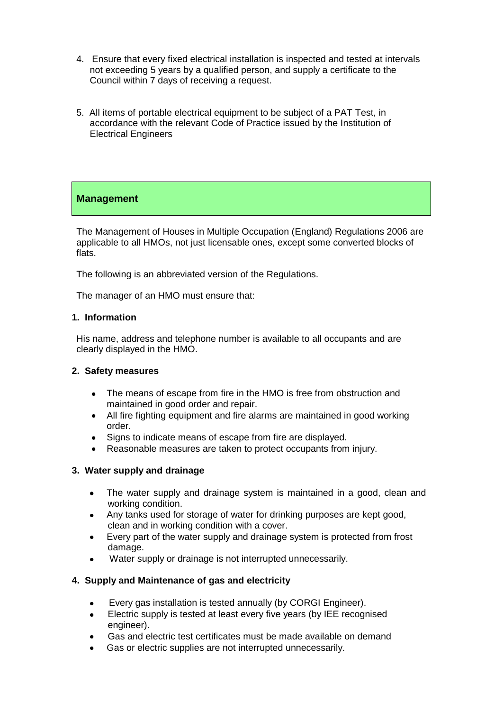- 4. Ensure that every fixed electrical installation is inspected and tested at intervals not exceeding 5 years by a qualified person, and supply a certificate to the Council within 7 days of receiving a request.
- 5. All items of portable electrical equipment to be subject of a PAT Test, in accordance with the relevant Code of Practice issued by the Institution of Electrical Engineers

# **Management**

The Management of Houses in Multiple Occupation (England) Regulations 2006 are applicable to all HMOs, not just licensable ones, except some converted blocks of flats.

The following is an abbreviated version of the Regulations.

The manager of an HMO must ensure that:

## **1. Information**

His name, address and telephone number is available to all occupants and are clearly displayed in the HMO.

#### **2. Safety measures**

- The means of escape from fire in the HMO is free from obstruction and maintained in good order and repair.
- All fire fighting equipment and fire alarms are maintained in good working order.
- Signs to indicate means of escape from fire are displayed.
- Reasonable measures are taken to protect occupants from injury.

## **3. Water supply and drainage**

- The water supply and drainage system is maintained in a good, clean and  $\bullet$ working condition.
- $\bullet$ Any tanks used for storage of water for drinking purposes are kept good, clean and in working condition with a cover.
- Every part of the water supply and drainage system is protected from frost  $\bullet$ damage.
- Water supply or drainage is not interrupted unnecessarily.

## **4. Supply and Maintenance of gas and electricity**

- Every gas installation is tested annually (by CORGI Engineer).
- Electric supply is tested at least every five years (by IEE recognised engineer).
- Gas and electric test certificates must be made available on demand
- Gas or electric supplies are not interrupted unnecessarily.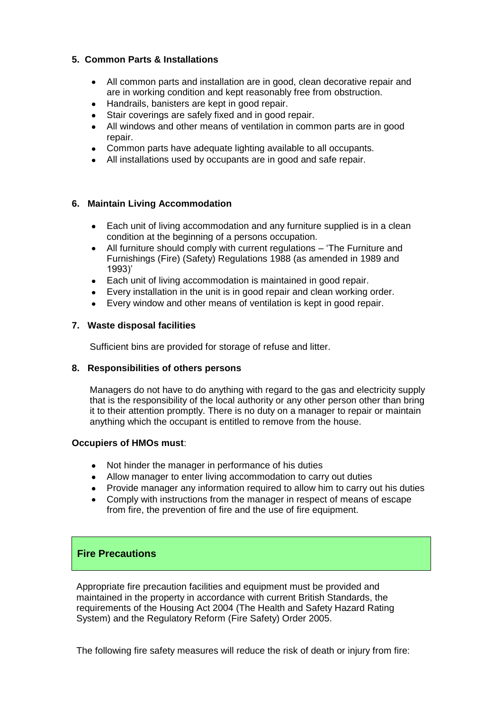# **5. Common Parts & Installations**

- All common parts and installation are in good, clean decorative repair and  $\bullet$ are in working condition and kept reasonably free from obstruction.
- Handrails, banisters are kept in good repair.
- Stair coverings are safely fixed and in good repair.
- All windows and other means of ventilation in common parts are in good repair.
- Common parts have adequate lighting available to all occupants.
- All installations used by occupants are in good and safe repair.

# **6. Maintain Living Accommodation**

- Each unit of living accommodation and any furniture supplied is in a clean condition at the beginning of a persons occupation.
- All furniture should comply with current regulations 'The Furniture and Furnishings (Fire) (Safety) Regulations 1988 (as amended in 1989 and 1993)'
- Each unit of living accommodation is maintained in good repair.
- Every installation in the unit is in good repair and clean working order.
- Every window and other means of ventilation is kept in good repair.

## **7. Waste disposal facilities**

Sufficient bins are provided for storage of refuse and litter.

## **8. Responsibilities of others persons**

Managers do not have to do anything with regard to the gas and electricity supply that is the responsibility of the local authority or any other person other than bring it to their attention promptly. There is no duty on a manager to repair or maintain anything which the occupant is entitled to remove from the house.

## **Occupiers of HMOs must**:

- Not hinder the manager in performance of his duties
- Allow manager to enter living accommodation to carry out duties
- Provide manager any information required to allow him to carry out his duties
- Comply with instructions from the manager in respect of means of escape from fire, the prevention of fire and the use of fire equipment.

# **Fire Precautions**

Appropriate fire precaution facilities and equipment must be provided and maintained in the property in accordance with current British Standards, the requirements of the Housing Act 2004 (The Health and Safety Hazard Rating System) and the Regulatory Reform (Fire Safety) Order 2005.

The following fire safety measures will reduce the risk of death or injury from fire: